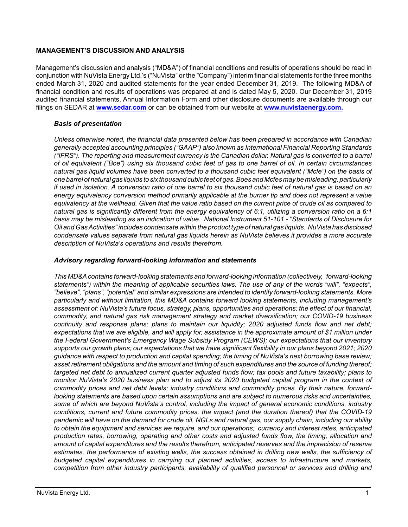## **MANAGEMENT'S DISCUSSION AND ANALYSIS**

Management's discussion and analysis ("MD&A") of financial conditions and results of operations should be read in conjunction with NuVista Energy Ltd.'s ("NuVista" or the "Company") interim financial statements for the three months ended March 31, 2020 and audited statements for the year ended December 31, 2019. The following MD&A of financial condition and results of operations was prepared at and is dated May 5, 2020. Our December 31, 2019 audited financial statements, Annual Information Form and other disclosure documents are available through our filings on SEDAR at **[www.sedar.com](http://www.sedar.com)** or can be obtained from our website at **[www.nuvistaenergy.com](http://www.nuvistaenergy.com).**

## *Basis of presentation*

*Unless otherwise noted, the financial data presented below has been prepared in accordance with Canadian generally accepted accounting principles ("GAAP") also known as International Financial Reporting Standards ("IFRS"). The reporting and measurement currency is the Canadian dollar. Natural gas is converted to a barrel of oil equivalent ("Boe") using six thousand cubic feet of gas to one barrel of oil. In certain circumstances natural gas liquid volumes have been converted to a thousand cubic feet equivalent ("Mcfe") on the basis of one barrel of natural gas liquids to six thousand cubic feet of gas. Boes and Mcfes may be misleading, particularly if used in isolation. A conversion ratio of one barrel to six thousand cubic feet of natural gas is based on an energy equivalency conversion method primarily applicable at the burner tip and does not represent a value equivalency at the wellhead. Given that the value ratio based on the current price of crude oil as compared to natural gas is significantly different from the energy equivalency of 6:1, utilizing a conversion ratio on a 6:1 basis may be misleading as an indication of value. National Instrument 51-101 - "Standards of Disclosure for Oil and Gas Activities" includes condensate within the product type of natural gas liquids. NuVista has disclosed condensate values separate from natural gas liquids herein as NuVista believes it provides a more accurate description of NuVista's operations and results therefrom.* 

## *Advisory regarding forward-looking information and statements*

*This MD&A contains forward-looking statements and forward-looking information (collectively, "forward-looking statements") within the meaning of applicable securities laws. The use of any of the words "will", "expects", "believe", "plans", "potential" and similar expressions are intended to identify forward-looking statements. More particularly and without limitation, this MD&A contains forward looking statements, including management's assessment of: NuVista's future focus, strategy, plans, opportunities and operations; the effect of our financial, commodity, and natural gas risk management strategy and market diversification; our COVID-19 business continuity and response plans; plans to maintain our liquidity; 2020 adjusted funds flow and net debt; expectations that we are eligible, and will apply for, assistance in the approximate amount of \$1 million under the Federal Government's Emergency Wage Subsidy Program (CEWS); our expectations that our inventory supports our growth plans; our expectations that we have significant flexibility in our plans beyond 2021; 2020 guidance with respect to production and capital spending; the timing of NuVista's next borrowing base review; asset retirement obligations and the amount and timing of such expenditures and the source of funding thereof; targeted net debt to annualized current quarter adjusted funds flow; tax pools and future taxability; plans to monitor NuVista's 2020 business plan and to adjust its 2020 budgeted capital program in the context of commodity prices and net debt levels; industry conditions and commodity prices. By their nature, forwardlooking statements are based upon certain assumptions and are subject to numerous risks and uncertainties, some of which are beyond NuVista's control, including the impact of general economic conditions, industry conditions, current and future commodity prices, the impact (and the duration thereof) that the COVID-19 pandemic will have on the demand for crude oil, NGLs and natural gas, our supply chain, including our ability to obtain the equipment and services we require, and our operations; currency and interest rates, anticipated production rates, borrowing, operating and other costs and adjusted funds flow, the timing, allocation and amount of capital expenditures and the results therefrom, anticipated reserves and the imprecision of reserve estimates, the performance of existing wells, the success obtained in drilling new wells, the sufficiency of budgeted capital expenditures in carrying out planned activities, access to infrastructure and markets, competition from other industry participants, availability of qualified personnel or services and drilling and*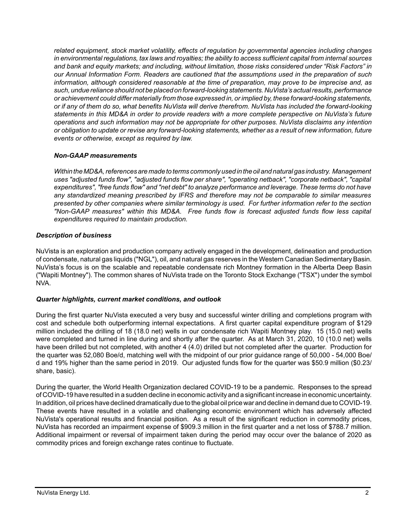*related equipment, stock market volatility, effects of regulation by governmental agencies including changes in environmental regulations, tax laws and royalties; the ability to access sufficient capital from internal sources and bank and equity markets; and including, without limitation, those risks considered under "Risk Factors" in our Annual Information Form. Readers are cautioned that the assumptions used in the preparation of such information, although considered reasonable at the time of preparation, may prove to be imprecise and, as such, undue reliance should not be placed on forward-looking statements. NuVista's actual results, performance or achievement could differ materially from those expressed in, or implied by, these forward-looking statements, or if any of them do so, what benefits NuVista will derive therefrom. NuVista has included the forward-looking statements in this MD&A in order to provide readers with a more complete perspective on NuVista's future operations and such information may not be appropriate for other purposes. NuVista disclaims any intention or obligation to update or revise any forward-looking statements, whether as a result of new information, future events or otherwise, except as required by law.*

## *Non-GAAP measurements*

*Within the MD&A, references are made to terms commonly used in the oil and natural gas industry. Management uses "adjusted funds flow", "adjusted funds flow per share", "operating netback", "corporate netback", "capital expenditures", "free funds flow" and "net debt" to analyze performance and leverage. These terms do not have any standardized meaning prescribed by IFRS and therefore may not be comparable to similar measures presented by other companies where similar terminology is used. For further information refer to the section "Non-GAAP measures" within this MD&A. Free funds flow is forecast adjusted funds flow less capital expenditures required to maintain production.* 

## *Description of business*

NuVista is an exploration and production company actively engaged in the development, delineation and production of condensate, natural gas liquids ("NGL"), oil, and natural gas reserves in the Western Canadian Sedimentary Basin. NuVista's focus is on the scalable and repeatable condensate rich Montney formation in the Alberta Deep Basin ("Wapiti Montney"). The common shares of NuVista trade on the Toronto Stock Exchange ("TSX") under the symbol NVA.

## *Quarter highlights, current market conditions, and outlook*

During the first quarter NuVista executed a very busy and successful winter drilling and completions program with cost and schedule both outperforming internal expectations. A first quarter capital expenditure program of \$129 million included the drilling of 18 (18.0 net) wells in our condensate rich Wapiti Montney play. 15 (15.0 net) wells were completed and turned in line during and shortly after the quarter. As at March 31, 2020, 10 (10.0 net) wells have been drilled but not completed, with another 4 (4.0) drilled but not completed after the quarter. Production for the quarter was 52,080 Boe/d, matching well with the midpoint of our prior guidance range of 50,000 - 54,000 Boe/ d and 19% higher than the same period in 2019. Our adjusted funds flow for the quarter was \$50.9 million (\$0.23/ share, basic).

During the quarter, the World Health Organization declared COVID-19 to be a pandemic. Responses to the spread of COVID-19 have resulted in a sudden decline in economic activity and a significant increase in economic uncertainty. In addition, oil prices have declined dramatically due to the global oil price war and decline in demand due to COVID-19. These events have resulted in a volatile and challenging economic environment which has adversely affected NuVista's operational results and financial position. As a result of the significant reduction in commodity prices, NuVista has recorded an impairment expense of \$909.3 million in the first quarter and a net loss of \$788.7 million. Additional impairment or reversal of impairment taken during the period may occur over the balance of 2020 as commodity prices and foreign exchange rates continue to fluctuate.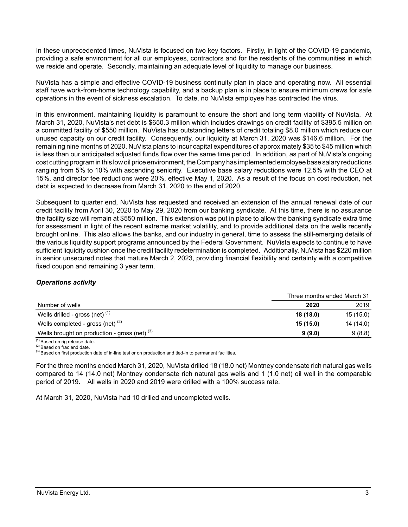In these unprecedented times, NuVista is focused on two key factors. Firstly, in light of the COVID-19 pandemic, providing a safe environment for all our employees, contractors and for the residents of the communities in which we reside and operate. Secondly, maintaining an adequate level of liquidity to manage our business.

NuVista has a simple and effective COVID-19 business continuity plan in place and operating now. All essential staff have work-from-home technology capability, and a backup plan is in place to ensure minimum crews for safe operations in the event of sickness escalation. To date, no NuVista employee has contracted the virus.

In this environment, maintaining liquidity is paramount to ensure the short and long term viability of NuVista. At March 31, 2020, NuVista's net debt is \$650.3 million which includes drawings on credit facility of \$395.5 million on a committed facility of \$550 million. NuVista has outstanding letters of credit totaling \$8.0 million which reduce our unused capacity on our credit facility. Consequently, our liquidity at March 31, 2020 was \$146.6 million. For the remaining nine months of 2020, NuVista plans to incur capital expenditures of approximately \$35 to \$45 million which is less than our anticipated adjusted funds flow over the same time period. In addition, as part of NuVista's ongoing cost cutting program in this low oil price environment, the Company has implemented employee base salary reductions ranging from 5% to 10% with ascending seniority. Executive base salary reductions were 12.5% with the CEO at 15%, and director fee reductions were 20%, effective May 1, 2020. As a result of the focus on cost reduction, net debt is expected to decrease from March 31, 2020 to the end of 2020.

Subsequent to quarter end, NuVista has requested and received an extension of the annual renewal date of our credit facility from April 30, 2020 to May 29, 2020 from our banking syndicate. At this time, there is no assurance the facility size will remain at \$550 million. This extension was put in place to allow the banking syndicate extra time for assessment in light of the recent extreme market volatility, and to provide additional data on the wells recently brought online. This also allows the banks, and our industry in general, time to assess the still-emerging details of the various liquidity support programs announced by the Federal Government. NuVista expects to continue to have sufficient liquidity cushion once the credit facility redetermination is completed. Additionally, NuVista has \$220 million in senior unsecured notes that mature March 2, 2023, providing financial flexibility and certainty with a competitive fixed coupon and remaining 3 year term.

## *Operations activity*

|                                                 | Three months ended March 31 |           |
|-------------------------------------------------|-----------------------------|-----------|
| Number of wells                                 | 2020                        | 2019      |
| Wells drilled - gross (net) $(1)$               | 18(18.0)                    | 15(15.0)  |
| Wells completed - gross (net) $(2)$             | 15(15.0)                    | 14 (14.0) |
| Wells brought on production - gross (net) $(3)$ | 9(9.0)                      | 9(8.8)    |

(1) Based on rig release date.

(2) Based on frac end date.

(3) Based on first production date of in-line test or on production and tied-in to permanent facilities.

For the three months ended March 31, 2020, NuVista drilled 18 (18.0 net) Montney condensate rich natural gas wells compared to 14 (14.0 net) Montney condensate rich natural gas wells and 1 (1.0 net) oil well in the comparable period of 2019. All wells in 2020 and 2019 were drilled with a 100% success rate.

At March 31, 2020, NuVista had 10 drilled and uncompleted wells.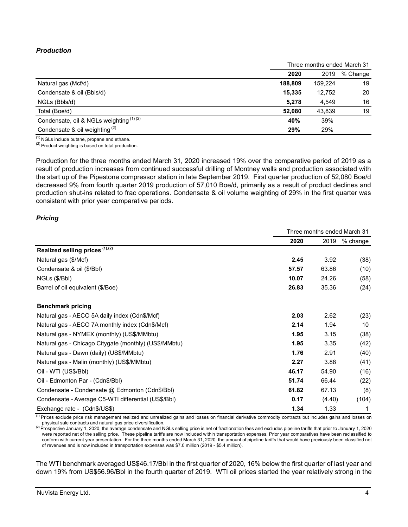# *Production*

|                                          | Three months ended March 31 |         |          |  |
|------------------------------------------|-----------------------------|---------|----------|--|
|                                          | 2020                        | 2019    | % Change |  |
| Natural gas (Mcf/d)                      | 188,809                     | 159.224 | 19       |  |
| Condensate & oil (Bbls/d)                | 15,335                      | 12.752  | 20       |  |
| NGLs (Bbls/d)                            | 5.278                       | 4.549   | 16       |  |
| Total (Boe/d)                            | 52.080                      | 43.839  | 19       |  |
| Condensate, oil & NGLs weighting (1) (2) | 40%                         | 39%     |          |  |
| Condensate & oil weighting $(2)$         | 29%                         | 29%     |          |  |

 $(1)$  NGLs include butane, propane and ethane.

 $(2)$  Product weighting is based on total production.

Production for the three months ended March 31, 2020 increased 19% over the comparative period of 2019 as a result of production increases from continued successful drilling of Montney wells and production associated with the start up of the Pipestone compressor station in late September 2019. First quarter production of 52,080 Boe/d decreased 9% from fourth quarter 2019 production of 57,010 Boe/d, primarily as a result of product declines and production shut-ins related to frac operations. Condensate & oil volume weighting of 29% in the first quarter was consistent with prior year comparative periods.

#### *Pricing*

|                                                       | Three months ended March 31 |        |            |
|-------------------------------------------------------|-----------------------------|--------|------------|
|                                                       | 2020                        | 2019   | $%$ change |
| Realized selling prices (1),(2)                       |                             |        |            |
| Natural gas (\$/Mcf)                                  | 2.45                        | 3.92   | (38)       |
| Condensate & oil (\$/Bbl)                             | 57.57                       | 63.86  | (10)       |
| NGLs (\$/Bbl)                                         | 10.07                       | 24.26  | (58)       |
| Barrel of oil equivalent (\$/Boe)                     | 26.83                       | 35.36  | (24)       |
| <b>Benchmark pricing</b>                              |                             |        |            |
| Natural gas - AECO 5A daily index (Cdn\$/Mcf)         | 2.03                        | 2.62   | (23)       |
| Natural gas - AECO 7A monthly index (Cdn\$/Mcf)       | 2.14                        | 1.94   | 10         |
| Natural gas - NYMEX (monthly) (US\$/MMbtu)            | 1.95                        | 3.15   | (38)       |
| Natural gas - Chicago Citygate (monthly) (US\$/MMbtu) | 1.95                        | 3.35   | (42)       |
| Natural gas - Dawn (daily) (US\$/MMbtu)               | 1.76                        | 2.91   | (40)       |
| Natural gas - Malin (monthly) (US\$/MMbtu)            | 2.27                        | 3.88   | (41)       |
| Oil - WTI (US\$/BbI)                                  | 46.17                       | 54.90  | (16)       |
| Oil - Edmonton Par - (Cdn\$/Bbl)                      | 51.74                       | 66.44  | (22)       |
| Condensate - Condensate @ Edmonton (Cdn\$/Bbl)        | 61.82                       | 67.13  | (8)        |
| Condensate - Average C5-WTI differential (US\$/BbI)   | 0.17                        | (4.40) | (104)      |
| Exchange rate - (Cdn\$/US\$)                          | 1.34                        | 1.33   | 1          |

(1) Prices exclude price risk management realized and unrealized gains and losses on financial derivative commodity contracts but includes gains and losses on physical sale contracts and natural gas price diversification.

(2) Prospective January 1, 2020, the average condensate and NGLs selling price is net of fractionation fees and excludes pipeline tariffs that prior to January 1, 2020 were reported net of the selling price. These pipeline tariffs are now included within transportation expenses. Prior year comparatives have been reclassified to conform with current year presentation. For the three months ended March 31, 2020, the amount of pipeline tariffs that would have previously been classified net of revenues and is now included in transportation expenses was \$7.0 million (2019 - \$5.4 million).

The WTI benchmark averaged US\$46.17/Bbl in the first quarter of 2020, 16% below the first quarter of last year and down 19% from US\$56.96/Bbl in the fourth quarter of 2019. WTI oil prices started the year relatively strong in the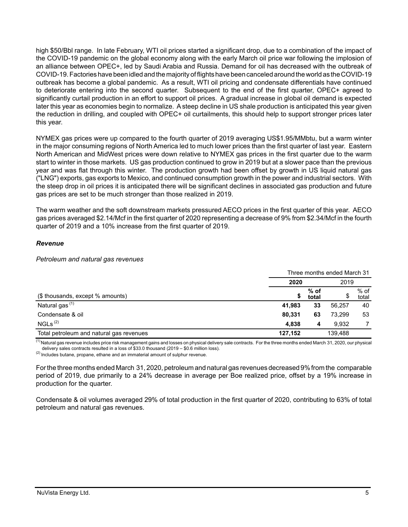high \$50/Bbl range. In late February, WTI oil prices started a significant drop, due to a combination of the impact of the COVID-19 pandemic on the global economy along with the early March oil price war following the implosion of an alliance between OPEC+, led by Saudi Arabia and Russia. Demand for oil has decreased with the outbreak of COVID-19. Factories have been idled and the majority of flights have been canceled around the world as the COVID-19 outbreak has become a global pandemic. As a result, WTI oil pricing and condensate differentials have continued to deteriorate entering into the second quarter. Subsequent to the end of the first quarter, OPEC+ agreed to significantly curtail production in an effort to support oil prices. A gradual increase in global oil demand is expected later this year as economies begin to normalize. A steep decline in US shale production is anticipated this year given the reduction in drilling, and coupled with OPEC+ oil curtailments, this should help to support stronger prices later this year.

NYMEX gas prices were up compared to the fourth quarter of 2019 averaging US\$1.95/MMbtu, but a warm winter in the major consuming regions of North America led to much lower prices than the first quarter of last year. Eastern North American and MidWest prices were down relative to NYMEX gas prices in the first quarter due to the warm start to winter in those markets. US gas production continued to grow in 2019 but at a slower pace than the previous year and was flat through this winter. The production growth had been offset by growth in US liquid natural gas ("LNG") exports, gas exports to Mexico, and continued consumption growth in the power and industrial sectors. With the steep drop in oil prices it is anticipated there will be significant declines in associated gas production and future gas prices are set to be much stronger than those realized in 2019.

The warm weather and the soft downstream markets pressured AECO prices in the first quarter of this year. AECO gas prices averaged \$2.14/Mcf in the first quarter of 2020 representing a decrease of 9% from \$2.34/Mcf in the fourth quarter of 2019 and a 10% increase from the first quarter of 2019.

### *Revenue*

#### *Petroleum and natural gas revenues*

|                                          | Three months ended March 31 |                 |         |               |
|------------------------------------------|-----------------------------|-----------------|---------|---------------|
|                                          | 2020                        |                 | 2019    |               |
| (\$ thousands, except % amounts)         | \$                          | $%$ of<br>total | \$      | % of<br>total |
| Natural gas <sup>(1)</sup>               | 41.983                      | 33              | 56,257  | 40            |
| Condensate & oil                         | 80.331                      | 63              | 73.299  | 53            |
| NGLs <sup>(2)</sup>                      | 4.838                       | 4               | 9.932   |               |
| Total petroleum and natural gas revenues | 127,152                     |                 | 139.488 |               |

<sup>(1)</sup> Natural gas revenue includes price risk management gains and losses on physical delivery sale contracts. For the three months ended March 31, 2020, our physical delivery sales contracts resulted in a loss of \$33.0 thousand (2019 – \$0.6 million loss).

 $(2)$  Includes butane, propane, ethane and an immaterial amount of sulphur revenue.

For the three months ended March 31, 2020, petroleum and natural gas revenues decreased9% from the comparable period of 2019, due primarily to a 24% decrease in average per Boe realized price, offset by a 19% increase in production for the quarter.

Condensate & oil volumes averaged 29% of total production in the first quarter of 2020, contributing to 63% of total petroleum and natural gas revenues.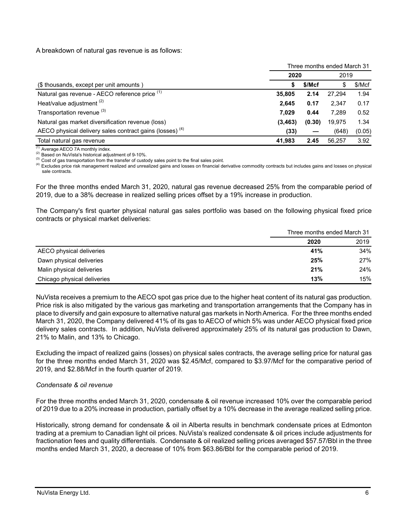A breakdown of natural gas revenue is as follows:

|                                                                     | Three months ended March 31 |        |        |        |  |
|---------------------------------------------------------------------|-----------------------------|--------|--------|--------|--|
|                                                                     | 2020                        |        |        | 2019   |  |
| (\$ thousands, except per unit amounts)                             |                             | \$/Mcf | S      | \$/Mcf |  |
| Natural gas revenue - AECO reference price (1)                      | 35,805                      | 2.14   | 27.294 | 1.94   |  |
| Heat/value adjustment <sup>(2)</sup>                                | 2,645                       | 0.17   | 2.347  | 0.17   |  |
| Transportation revenue <sup>(3)</sup>                               | 7.029                       | 0.44   | 7.289  | 0.52   |  |
| Natural gas market diversification revenue (loss)                   | (3, 463)                    | (0.30) | 19,975 | 1.34   |  |
| AECO physical delivery sales contract gains (losses) <sup>(4)</sup> | (33)                        |        | (648)  | (0.05) |  |
| Total natural gas revenue                                           | 41,983                      | 2.45   | 56.257 | 3.92   |  |

 $(1)$  Average AECO 7A monthly index.

(2) Based on NuVista's historical adjustment of 9-10%.

(3) Cost of gas transportation from the transfer of custody sales point to the final sales point.

(4) Excludes price risk management realized and unrealized gains and losses on financial derivative commodity contracts but includes gains and losses on physical sale contracts.

For the three months ended March 31, 2020, natural gas revenue decreased 25% from the comparable period of 2019, due to a 38% decrease in realized selling prices offset by a 19% increase in production.

The Company's first quarter physical natural gas sales portfolio was based on the following physical fixed price contracts or physical market deliveries:

|                             | Three months ended March 31 |      |  |
|-----------------------------|-----------------------------|------|--|
|                             | 2020                        | 2019 |  |
| AECO physical deliveries    | 41%                         | 34%  |  |
| Dawn physical deliveries    | 25%                         | 27%  |  |
| Malin physical deliveries   | 21%                         | 24%  |  |
| Chicago physical deliveries | 13%                         | 15%  |  |

NuVista receives a premium to the AECO spot gas price due to the higher heat content of its natural gas production. Price risk is also mitigated by the various gas marketing and transportation arrangements that the Company has in place to diversify and gain exposure to alternative natural gas markets in North America. For the three months ended March 31, 2020, the Company delivered 41% of its gas to AECO of which 5% was under AECO physical fixed price delivery sales contracts. In addition, NuVista delivered approximately 25% of its natural gas production to Dawn, 21% to Malin, and 13% to Chicago.

Excluding the impact of realized gains (losses) on physical sales contracts, the average selling price for natural gas for the three months ended March 31, 2020 was \$2.45/Mcf, compared to \$3.97/Mcf for the comparative period of 2019, and \$2.88/Mcf in the fourth quarter of 2019.

## *Condensate & oil revenue*

For the three months ended March 31, 2020, condensate & oil revenue increased 10% over the comparable period of 2019 due to a 20% increase in production, partially offset by a 10% decrease in the average realized selling price.

Historically, strong demand for condensate & oil in Alberta results in benchmark condensate prices at Edmonton trading at a premium to Canadian light oil prices. NuVista's realized condensate & oil prices include adjustments for fractionation fees and quality differentials. Condensate & oil realized selling prices averaged \$57.57/Bbl in the three months ended March 31, 2020, a decrease of 10% from \$63.86/Bbl for the comparable period of 2019.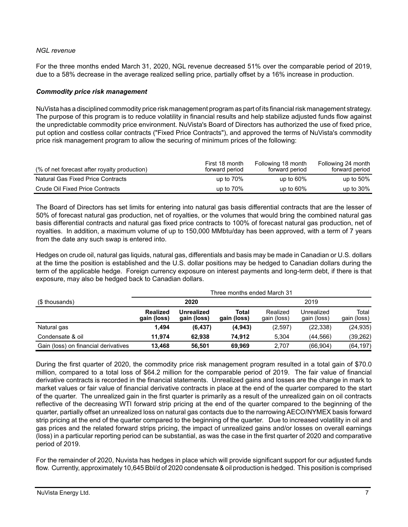## *NGL revenue*

For the three months ended March 31, 2020, NGL revenue decreased 51% over the comparable period of 2019, due to a 58% decrease in the average realized selling price, partially offset by a 16% increase in production.

## *Commodity price risk management*

NuVista has a disciplined commodity price risk management program as part of its financial risk management strategy. The purpose of this program is to reduce volatility in financial results and help stabilize adjusted funds flow against the unpredictable commodity price environment. NuVista's Board of Directors has authorized the use of fixed price, put option and costless collar contracts ("Fixed Price Contracts"), and approved the terms of NuVista's commodity price risk management program to allow the securing of minimum prices of the following:

| (% of net forecast after royalty production) | First 18 month<br>forward period | Following 18 month<br>forward period | Following 24 month<br>forward period |
|----------------------------------------------|----------------------------------|--------------------------------------|--------------------------------------|
| Natural Gas Fixed Price Contracts            | up to $70\%$                     | up to $60\%$                         | up to $50\%$                         |
| Crude Oil Fixed Price Contracts              | up to $70\%$                     | up to $60\%$                         | up to $30\%$                         |

The Board of Directors has set limits for entering into natural gas basis differential contracts that are the lesser of 50% of forecast natural gas production, net of royalties, or the volumes that would bring the combined natural gas basis differential contracts and natural gas fixed price contracts to 100% of forecast natural gas production, net of royalties. In addition, a maximum volume of up to 150,000 MMbtu/day has been approved, with a term of 7 years from the date any such swap is entered into.

Hedges on crude oil, natural gas liquids, natural gas, differentials and basis may be made in Canadian or U.S. dollars at the time the position is established and the U.S. dollar positions may be hedged to Canadian dollars during the term of the applicable hedge. Foreign currency exposure on interest payments and long-term debt, if there is that exposure, may also be hedged back to Canadian dollars.

|                                      | Three months ended March 31    |                                  |                      |                         |                           |                      |
|--------------------------------------|--------------------------------|----------------------------------|----------------------|-------------------------|---------------------------|----------------------|
| (\$ thousands)                       |                                | 2020                             | 2019                 |                         |                           |                      |
|                                      | <b>Realized</b><br>gain (loss) | <b>Unrealized</b><br>gain (loss) | Total<br>gain (loss) | Realized<br>gain (loss) | Unrealized<br>gain (loss) | Total<br>gain (loss) |
| Natural gas                          | 1,494                          | (6, 437)                         | (4,943)              | (2,597)                 | (22, 338)                 | (24, 935)            |
| Condensate & oil                     | 11.974                         | 62.938                           | 74.912               | 5.304                   | (44, 566)                 | (39, 262)            |
| Gain (loss) on financial derivatives | 13.468                         | 56.501                           | 69.969               | 2.707                   | (66, 904)                 | (64, 197)            |

During the first quarter of 2020, the commodity price risk management program resulted in a total gain of \$70.0 million, compared to a total loss of \$64.2 million for the comparable period of 2019. The fair value of financial derivative contracts is recorded in the financial statements. Unrealized gains and losses are the change in mark to market values or fair value of financial derivative contracts in place at the end of the quarter compared to the start of the quarter. The unrealized gain in the first quarter is primarily as a result of the unrealized gain on oil contracts reflective of the decreasing WTI forward strip pricing at the end of the quarter compared to the beginning of the quarter, partially offset an unrealized loss on natural gas contacts due to the narrowing AECO/NYMEX basis forward strip pricing at the end of the quarter compared to the beginning of the quarter. Due to increased volatility in oil and gas prices and the related forward strips pricing, the impact of unrealized gains and/or losses on overall earnings (loss) in a particular reporting period can be substantial, as was the case in the first quarter of 2020 and comparative period of 2019.

For the remainder of 2020, Nuvista has hedges in place which will provide significant support for our adjusted funds flow. Currently, approximately 10,645 Bbl/d of 2020 condensate & oil production is hedged. This position is comprised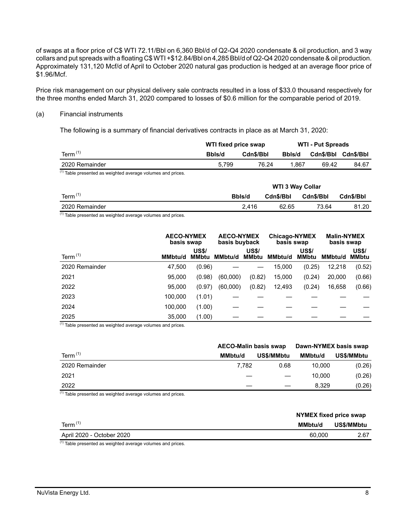of swaps at a floor price of C\$ WTI 72.11/Bbl on 6,360 Bbl/d of Q2-Q4 2020 condensate & oil production, and 3 way collars and put spreads with a floating C\$ WTI +\$12.84/Bbl on 4,285 Bbl/d of Q2-Q4 2020 condensate & oil production. Approximately 131,120 Mcf/d of April to October 2020 natural gas production is hedged at an average floor price of \$1.96/Mcf.

Price risk management on our physical delivery sale contracts resulted in a loss of \$33.0 thousand respectively for the three months ended March 31, 2020 compared to losses of \$0.6 million for the comparable period of 2019.

#### (a) Financial instruments

The following is a summary of financial derivatives contracts in place as at March 31, 2020:

|                                                                        | WTI fixed price swap<br><b>WTI - Put Spreads</b> |           |                |           |           |
|------------------------------------------------------------------------|--------------------------------------------------|-----------|----------------|-----------|-----------|
| Term $(1)$                                                             | Bbls/d                                           | Cdn\$/Bbl | Bbls/d         | Cdn\$/Bbl | Cdn\$/Bbl |
| 2020 Remainder                                                         | 5.799                                            |           | 76.24<br>1.867 | 69.42     | 84.67     |
| <sup>(1)</sup> Table presented as weighted average volumes and prices. |                                                  |           |                |           |           |
|                                                                        | <b>WTI 3 Way Collar</b>                          |           |                |           |           |
| Term $(1)$                                                             |                                                  | Bbls/d    | Cdn\$/Bbl      | Cdn\$/Bbl | Cdn\$/Bbl |
| 2020 Remainder                                                         |                                                  | 2.416     | 62.65          | 73.64     | 81.20     |

 $(1)$  Table presented as weighted average volumes and prices.

|                | <b>AECO-NYMEX</b><br>basis swap |                              | <b>AECO-NYMEX</b><br>basis buyback |                       | <b>Chicago-NYMEX</b><br>basis swap |                              | <b>Malin-NYMEX</b><br>basis swap |                              |
|----------------|---------------------------------|------------------------------|------------------------------------|-----------------------|------------------------------------|------------------------------|----------------------------------|------------------------------|
| Term $(1)$     | <b>MMbtu/d</b>                  | <b>US\$/</b><br><b>MMbtu</b> | <b>MMbtu/d</b>                     | <b>US\$/</b><br>MMbtu | MMbtu/d                            | <b>US\$/</b><br><b>MMbtu</b> | MMbtu/d                          | <b>US\$/</b><br><b>MMbtu</b> |
| 2020 Remainder | 47,500                          | (0.96)                       |                                    |                       | 15,000                             | (0.25)                       | 12,218                           | (0.52)                       |
| 2021           | 95,000                          | (0.98)                       | (60,000)                           | (0.82)                | 15,000                             | (0.24)                       | 20,000                           | (0.66)                       |
| 2022           | 95,000                          | (0.97)                       | (60,000)                           | (0.82)                | 12,493                             | (0.24)                       | 16,658                           | (0.66)                       |
| 2023           | 100,000                         | (1.01)                       |                                    |                       |                                    |                              |                                  |                              |
| 2024           | 100,000                         | (1.00)                       |                                    |                       |                                    |                              |                                  |                              |
| 2025           | 35,000                          | (1.00)                       |                                    |                       |                                    |                              |                                  |                              |

 $(1)$  Table presented as weighted average volumes and prices.

|                | <b>AECO-Malin basis swap</b> |                   | Dawn-NYMEX basis swap |            |  |
|----------------|------------------------------|-------------------|-----------------------|------------|--|
| Term $(1)$     | <b>MMbtu/d</b>               | <b>US\$/MMbtu</b> | <b>MMbtu/d</b>        | US\$/MMbtu |  |
| 2020 Remainder | 7.782                        | 0.68              | 10.000                | (0.26)     |  |
| 2021           |                              |                   | 10.000                | (0.26)     |  |
| 2022           |                              |                   | 8.329                 | (0.26)     |  |

 $<sup>(1)</sup>$  Table presented as weighted average volumes and prices.</sup>

|                           | NYMEX fixed price swap |            |
|---------------------------|------------------------|------------|
| Term $(1)$                | <b>MMbtu/d</b>         | US\$/MMbtu |
| April 2020 - October 2020 | 60.000                 | 2.67       |
| $(1) - 1$<br>.<br>.       |                        |            |

 $<sup>(1)</sup>$  Table presented as weighted average volumes and prices.</sup>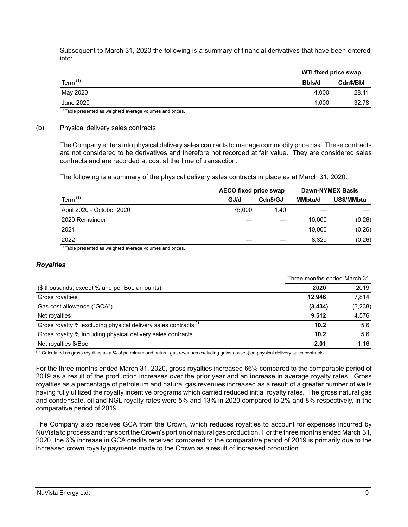Subsequent to March 31, 2020 the following is a summary of financial derivatives that have been entered into:

| Term $(1)$<br>Bbls/d<br>May 2020 | WTI fixed price swap |           |
|----------------------------------|----------------------|-----------|
|                                  |                      | Cdn\$/Bbl |
|                                  | 4.000                | 28.41     |
| June 2020                        | 1.000                | 32.78     |

 $<sup>(1)</sup>$  Table presented as weighted average volumes and prices.</sup>

#### (b) Physical delivery sales contracts

The Company enters into physical delivery sales contracts to manage commodity price risk. These contracts are not considered to be derivatives and therefore not recorded at fair value. They are considered sales contracts and are recorded at cost at the time of transaction.

The following is a summary of the physical delivery sales contracts in place as at March 31, 2020:

|                           | <b>AECO fixed price swap</b> |          |                | <b>Dawn-NYMEX Basis</b> |
|---------------------------|------------------------------|----------|----------------|-------------------------|
| Term $(1)$                | GJ/d                         | Cdn\$/GJ | <b>MMbtu/d</b> | US\$/MMbtu              |
| April 2020 - October 2020 | 75,000                       | 1.40     |                |                         |
| 2020 Remainder            |                              |          | 10.000         | (0.26)                  |
| 2021                      |                              |          | 10.000         | (0.26)                  |
| 2022                      |                              |          | 8,329          | (0.26)                  |

 $(1)$  Table presented as weighted average volumes and prices.

#### *Royalties*

|                                                                            | Three months ended March 31 |          |
|----------------------------------------------------------------------------|-----------------------------|----------|
| (\$ thousands, except % and per Boe amounts)                               | 2020                        | 2019     |
| Gross royalties                                                            | 12.946                      | 7.814    |
| Gas cost allowance ("GCA")                                                 | (3, 434)                    | (3, 238) |
| Net royalties                                                              | 9.512                       | 4,576    |
| Gross royalty % excluding physical delivery sales contracts <sup>(1)</sup> | 10.2                        | 5.6      |
| Gross royalty % including physical delivery sales contracts                | 10.2                        | 5.6      |
| Net royalties \$/Boe                                                       | 2.01                        | 1.16     |

 $<sup>(1)</sup>$  Calculated as gross royalties as a % of petroleum and natural gas revenues excluding gains (losses) on physical delivery sales contracts.</sup>

For the three months ended March 31, 2020, gross royalties increased 66% compared to the comparable period of 2019 as a result of the production increases over the prior year and an increase in average royalty rates. Gross royalties as a percentage of petroleum and natural gas revenues increased as a result of a greater number of wells having fully utilized the royalty incentive programs which carried reduced initial royalty rates. The gross natural gas and condensate, oil and NGL royalty rates were 5% and 13% in 2020 compared to 2% and 8% respectively, in the comparative period of 2019.

The Company also receives GCA from the Crown, which reduces royalties to account for expenses incurred by NuVista to process and transport the Crown's portion of natural gas production. For the three months ended March 31, 2020, the 6% increase in GCA credits received compared to the comparative period of 2019 is primarily due to the increased crown royalty payments made to the Crown as a result of increased production.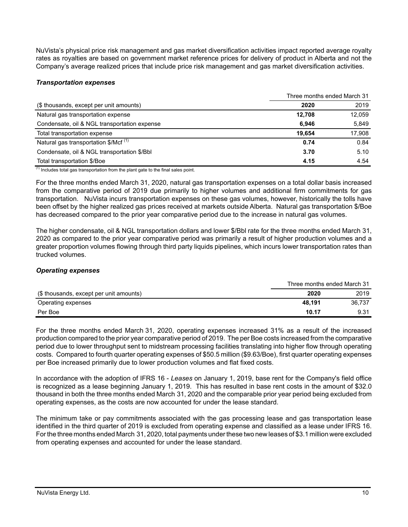NuVista's physical price risk management and gas market diversification activities impact reported average royalty rates as royalties are based on government market reference prices for delivery of product in Alberta and not the Company's average realized prices that include price risk management and gas market diversification activities.

## *Transportation expenses*

|                                                  |        | Three months ended March 31 |
|--------------------------------------------------|--------|-----------------------------|
| (\$ thousands, except per unit amounts)          | 2020   | 2019                        |
| Natural gas transportation expense               | 12,708 | 12,059                      |
| Condensate, oil & NGL transportation expense     | 6.946  | 5,849                       |
| Total transportation expense                     | 19.654 | 17.908                      |
| Natural gas transportation \$/Mcf <sup>(1)</sup> | 0.74   | 0.84                        |
| Condensate, oil & NGL transportation \$/Bbl      | 3.70   | 5.10                        |
| Total transportation \$/Boe                      | 4.15   | 4.54                        |

 $(1)$  Includes total gas transportation from the plant gate to the final sales point.

For the three months ended March 31, 2020, natural gas transportation expenses on a total dollar basis increased from the comparative period of 2019 due primarily to higher volumes and additional firm commitments for gas transportation. NuVista incurs transportation expenses on these gas volumes, however, historically the tolls have been offset by the higher realized gas prices received at markets outside Alberta. Natural gas transportation \$/Boe has decreased compared to the prior year comparative period due to the increase in natural gas volumes.

The higher condensate, oil & NGL transportation dollars and lower \$/Bbl rate for the three months ended March 31, 2020 as compared to the prior year comparative period was primarily a result of higher production volumes and a greater proportion volumes flowing through third party liquids pipelines, which incurs lower transportation rates than trucked volumes.

## *Operating expenses*

|                                         |        | Three months ended March 31 |
|-----------------------------------------|--------|-----------------------------|
| (\$ thousands, except per unit amounts) | 2020   | 2019                        |
| Operating expenses                      | 48.191 | 36.737                      |
| Per Boe                                 | 10.17  | 9.31                        |

For the three months ended March 31, 2020, operating expenses increased 31% as a result of the increased production compared to the prior year comparative period of 2019. The per Boe costs increased from the comparative period due to lower throughput sent to midstream processing facilities translating into higher flow through operating costs. Compared to fourth quarter operating expenses of \$50.5 million (\$9.63/Boe), first quarter operating expenses per Boe increased primarily due to lower production volumes and flat fixed costs.

In accordance with the adoption of IFRS 16 - *Leases* on January 1, 2019, base rent for the Company's field office is recognized as a lease beginning January 1, 2019. This has resulted in base rent costs in the amount of \$32.0 thousand in both the three months ended March 31, 2020 and the comparable prior year period being excluded from operating expenses, as the costs are now accounted for under the lease standard.

The minimum take or pay commitments associated with the gas processing lease and gas transportation lease identified in the third quarter of 2019 is excluded from operating expense and classified as a lease under IFRS 16. For the three months ended March 31, 2020, total payments under these two new leases of \$3.1 million were excluded from operating expenses and accounted for under the lease standard.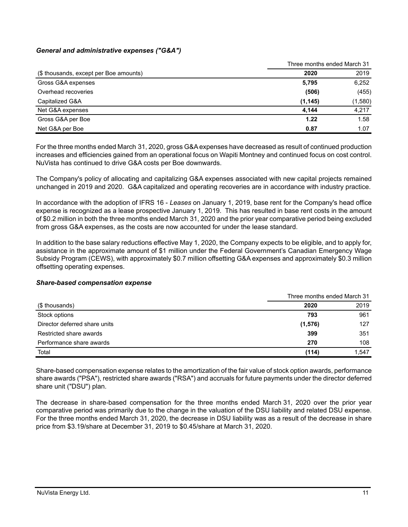## *General and administrative expenses ("G&A")*

|                                        | Three months ended March 31 |         |
|----------------------------------------|-----------------------------|---------|
| (\$ thousands, except per Boe amounts) | 2020                        | 2019    |
| Gross G&A expenses                     | 5,795                       | 6,252   |
| Overhead recoveries                    | (506)                       | (455)   |
| Capitalized G&A                        | (1, 145)                    | (1,580) |
| Net G&A expenses                       | 4.144                       | 4.217   |
| Gross G&A per Boe                      | 1.22                        | 1.58    |
| Net G&A per Boe                        | 0.87                        | 1.07    |

For the three months ended March 31, 2020, gross G&A expenses have decreased as result of continued production increases and efficiencies gained from an operational focus on Wapiti Montney and continued focus on cost control. NuVista has continued to drive G&A costs per Boe downwards.

The Company's policy of allocating and capitalizing G&A expenses associated with new capital projects remained unchanged in 2019 and 2020. G&A capitalized and operating recoveries are in accordance with industry practice.

In accordance with the adoption of IFRS 16 - *Leases* on January 1, 2019, base rent for the Company's head office expense is recognized as a lease prospective January 1, 2019. This has resulted in base rent costs in the amount of \$0.2 million in both the three months ended March 31, 2020 and the prior year comparative period being excluded from gross G&A expenses, as the costs are now accounted for under the lease standard.

In addition to the base salary reductions effective May 1, 2020, the Company expects to be eligible, and to apply for, assistance in the approximate amount of \$1 million under the Federal Government's Canadian Emergency Wage Subsidy Program (CEWS), with approximately \$0.7 million offsetting G&A expenses and approximately \$0.3 million offsetting operating expenses.

#### *Share-based compensation expense*

|                               | Three months ended March 31 |       |
|-------------------------------|-----------------------------|-------|
| (\$ thousands)                | 2020                        | 2019  |
| Stock options                 | 793                         | 961   |
| Director deferred share units | (1, 576)                    | 127   |
| Restricted share awards       | 399                         | 351   |
| Performance share awards      | 270                         | 108   |
| Total                         | (114)                       | 1,547 |

Share-based compensation expense relates to the amortization of the fair value of stock option awards, performance share awards ("PSA"), restricted share awards ("RSA") and accruals for future payments under the director deferred share unit ("DSU") plan.

The decrease in share-based compensation for the three months ended March 31, 2020 over the prior year comparative period was primarily due to the change in the valuation of the DSU liability and related DSU expense. For the three months ended March 31, 2020, the decrease in DSU liability was as a result of the decrease in share price from \$3.19/share at December 31, 2019 to \$0.45/share at March 31, 2020.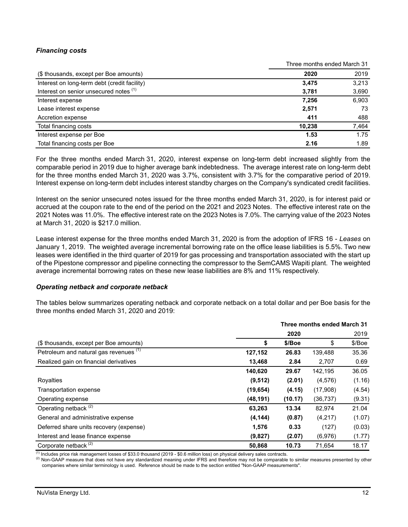# *Financing costs*

|                                              | Three months ended March 31 |       |
|----------------------------------------------|-----------------------------|-------|
| (\$ thousands, except per Boe amounts)       | 2020                        | 2019  |
| Interest on long-term debt (credit facility) | 3,475                       | 3,213 |
| Interest on senior unsecured notes (1)       | 3,781                       | 3,690 |
| Interest expense                             | 7,256                       | 6,903 |
| Lease interest expense                       | 2,571                       | 73    |
| Accretion expense                            | 411                         | 488   |
| Total financing costs                        | 10,238                      | 7,464 |
| Interest expense per Boe                     | 1.53                        | 1.75  |
| Total financing costs per Boe                | 2.16                        | 1.89  |

For the three months ended March 31, 2020, interest expense on long-term debt increased slightly from the comparable period in 2019 due to higher average bank indebtedness. The average interest rate on long-term debt for the three months ended March 31, 2020 was 3.7%, consistent with 3.7% for the comparative period of 2019. Interest expense on long-term debt includes interest standby charges on the Company's syndicated credit facilities.

Interest on the senior unsecured notes issued for the three months ended March 31, 2020, is for interest paid or accrued at the coupon rate to the end of the period on the 2021 and 2023 Notes. The effective interest rate on the 2021 Notes was 11.0%. The effective interest rate on the 2023 Notes is 7.0%. The carrying value of the 2023 Notes at March 31, 2020 is \$217.0 million.

Lease interest expense for the three months ended March 31, 2020 is from the adoption of IFRS 16 - *Leases* on January 1, 2019. The weighted average incremental borrowing rate on the office lease liabilities is 5.5%. Two new leases were identified in the third quarter of 2019 for gas processing and transportation associated with the start up of the Pipestone compressor and pipeline connecting the compressor to the SemCAMS Wapiti plant. The weighted average incremental borrowing rates on these new lease liabilities are 8% and 11% respectively.

#### *Operating netback and corporate netback*

The tables below summarizes operating netback and corporate netback on a total dollar and per Boe basis for the three months ended March 31, 2020 and 2019:

|                                         | Three months ended March 31 |         |           |        |
|-----------------------------------------|-----------------------------|---------|-----------|--------|
|                                         |                             | 2020    |           | 2019   |
| (\$ thousands, except per Boe amounts)  | \$                          | \$/Boe  | \$        | \$/Boe |
| Petroleum and natural gas revenues (1)  | 127,152                     | 26.83   | 139,488   | 35.36  |
| Realized gain on financial derivatives  | 13,468                      | 2.84    | 2,707     | 0.69   |
|                                         | 140,620                     | 29.67   | 142,195   | 36.05  |
| Royalties                               | (9, 512)                    | (2.01)  | (4, 576)  | (1.16) |
| Transportation expense                  | (19, 654)                   | (4.15)  | (17,908)  | (4.54) |
| Operating expense                       | (48, 191)                   | (10.17) | (36, 737) | (9.31) |
| Operating netback <sup>(2)</sup>        | 63,263                      | 13.34   | 82,974    | 21.04  |
| General and administrative expense      | (4, 144)                    | (0.87)  | (4,217)   | (1.07) |
| Deferred share units recovery (expense) | 1,576                       | 0.33    | (127)     | (0.03) |
| Interest and lease finance expense      | (9,827)                     | (2.07)  | (6,976)   | (1.77) |
| Corporate netback <sup>(2)</sup>        | 50,868                      | 10.73   | 71,654    | 18.17  |

 $\frac{(1)}{(1)}$  Includes price risk management losses of \$33.0 thousand (2019 - \$0.6 million loss) on physical delivery sales contracts.

(2) Non-GAAP measure that does not have any standardized meaning under IFRS and therefore may not be comparable to similar measures presented by other companies where similar terminology is used. Reference should be made to the section entitled "Non-GAAP measurements".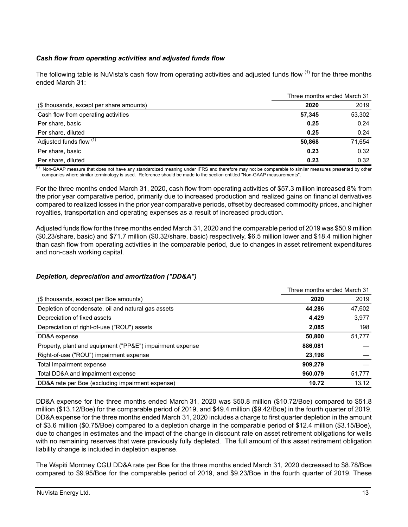# *Cash flow from operating activities and adjusted funds flow*

The following table is NuVista's cash flow from operating activities and adjusted funds flow <sup>(1)</sup> for the three months ended March 31:

|                                          |        | Three months ended March 31 |
|------------------------------------------|--------|-----------------------------|
| (\$ thousands, except per share amounts) | 2020   | 2019                        |
| Cash flow from operating activities      | 57,345 | 53,302                      |
| Per share, basic                         | 0.25   | 0.24                        |
| Per share, diluted                       | 0.25   | 0.24                        |
| Adjusted funds flow (1)                  | 50,868 | 71,654                      |
| Per share, basic                         | 0.23   | 0.32                        |
| Per share, diluted                       | 0.23   | 0.32                        |

 $<sup>(1)</sup>$  Non-GAAP measure that does not have any standardized meaning under IFRS and therefore may not be comparable to similar measures presented by other</sup> companies where similar terminology is used. Reference should be made to the section entitled "Non-GAAP measurements".

For the three months ended March 31, 2020, cash flow from operating activities of \$57.3 million increased 8% from the prior year comparative period, primarily due to increased production and realized gains on financial derivatives compared to realized losses in the prior year comparative periods, offset by decreased commodity prices, and higher royalties, transportation and operating expenses as a result of increased production.

Adjusted funds flow for the three months ended March 31, 2020 and the comparable period of 2019 was \$50.9 million (\$0.23/share, basic) and \$71.7 million (\$0.32/share, basic) respectively, \$6.5 million lower and \$18.4 million higher than cash flow from operating activities in the comparable period, due to changes in asset retirement expenditures and non-cash working capital.

# *Depletion, depreciation and amortization ("DD&A")*

|                                                           | Three months ended March 31 |        |
|-----------------------------------------------------------|-----------------------------|--------|
| (\$ thousands, except per Boe amounts)                    | 2020                        | 2019   |
| Depletion of condensate, oil and natural gas assets       | 44.286                      | 47,602 |
| Depreciation of fixed assets                              | 4,429                       | 3,977  |
| Depreciation of right-of-use ("ROU") assets               | 2,085                       | 198    |
| DD&A expense                                              | 50.800                      | 51.777 |
| Property, plant and equipment ("PP&E") impairment expense | 886,081                     |        |
| Right-of-use ("ROU") impairment expense                   | 23,198                      |        |
| Total Impairment expense                                  | 909.279                     |        |
| Total DD&A and impairment expense                         | 960.079                     | 51,777 |
| DD&A rate per Boe (excluding impairment expense)          | 10.72                       | 13.12  |

DD&A expense for the three months ended March 31, 2020 was \$50.8 million (\$10.72/Boe) compared to \$51.8 million (\$13.12/Boe) for the comparable period of 2019, and \$49.4 million (\$9.42/Boe) in the fourth quarter of 2019. DD&A expense for the three months ended March 31, 2020 includes a charge to first quarter depletion in the amount of \$3.6 million (\$0.75/Boe) compared to a depletion charge in the comparable period of \$12.4 million (\$3.15/Boe), due to changes in estimates and the impact of the change in discount rate on asset retirement obligations for wells with no remaining reserves that were previously fully depleted. The full amount of this asset retirement obligation liability change is included in depletion expense.

The Wapiti Montney CGU DD&A rate per Boe for the three months ended March 31, 2020 decreased to \$8.78/Boe compared to \$9.95/Boe for the comparable period of 2019, and \$9.23/Boe in the fourth quarter of 2019. These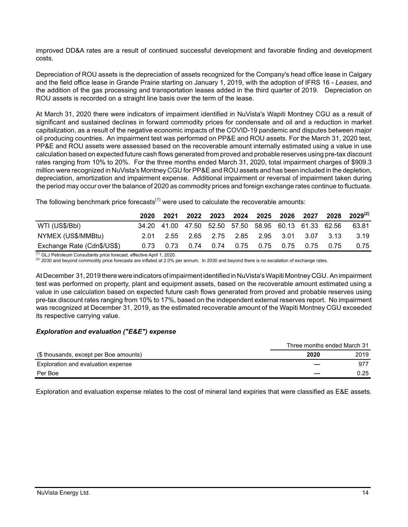improved DD&A rates are a result of continued successful development and favorable finding and development costs.

Depreciation of ROU assets is the depreciation of assets recognized for the Company's head office lease in Calgary and the field office lease in Grande Prairie starting on January 1, 2019, with the adoption of IFRS 16 - *Leases*, and the addition of the gas processing and transportation leases added in the third quarter of 2019. Depreciation on ROU assets is recorded on a straight line basis over the term of the lease.

At March 31, 2020 there were indicators of impairment identified in NuVista's Wapiti Montney CGU as a result of significant and sustained declines in forward commodity prices for condensate and oil and a reduction in market capitalization, as a result of the negative economic impacts of the COVID-19 pandemic and disputes between major oil producing countries. An impairment test was performed on PP&E and ROU assets. For the March 31, 2020 test, PP&E and ROU assets were assessed based on the recoverable amount internally estimated using a value in use calculation based on expected future cash flows generated from proved and probable reserves using pre-tax discount rates ranging from 10% to 20%. For the three months ended March 31, 2020, total impairment charges of \$909.3 million were recognized in NuVista's Montney CGU for PP&E and ROU assets and has been included in the depletion, depreciation, amortization and impairment expense. Additional impairment or reversal of impairment taken during the period may occur over the balance of 2020 as commodity prices and foreign exchange rates continue to fluctuate.

|  | The following benchmark price forecasts <sup>(1)</sup> were used to calculate the recoverable amounts: |
|--|--------------------------------------------------------------------------------------------------------|
|--|--------------------------------------------------------------------------------------------------------|

|                            | 2020 | 2021 | 2022 |                                              |  | 2023 2024 2025 2026 2027 |           | 2028                                                          | $2029^{(2)}$ |
|----------------------------|------|------|------|----------------------------------------------|--|--------------------------|-----------|---------------------------------------------------------------|--------------|
| WTI (US\$/BbI)             |      |      |      |                                              |  |                          |           | 34.20  41.00  47.50  52.50  57.50  58.95  60.13  61.33  62.56 | 63.81        |
| NYMEX (US\$/MMBtu)         |      |      |      | 2.01 2.55 2.65 2.75 2.85 2.95 3.01 3.07 3.13 |  |                          |           |                                                               | 3.19         |
| Exchange Rate (Cdn\$/US\$) | 0.73 |      |      | 0.73   0.74   0.74   0.75   0.75             |  |                          | 0.75 0.75 | 0.75                                                          | 0.75         |

(1) GLJ Petroleum Consultants price forecast, effective April 1, 2020.

 $(2)$  2030 and beyond commodity price forecasts are inflated at 2.0% per annum. In 2030 and beyond there is no escalation of exchange rates.

At December 31, 2019 there were indicators of impairment identified in NuVista's Wapiti Montney CGU. An impairment test was performed on property, plant and equipment assets, based on the recoverable amount estimated using a value in use calculation based on expected future cash flows generated from proved and probable reserves using pre-tax discount rates ranging from 10% to 17%, based on the independent external reserves report. No impairment was recognized at December 31, 2019, as the estimated recoverable amount of the Wapiti Montney CGU exceeded its respective carrying value.

## *Exploration and evaluation ("E&E") expense*

|                                        | Three months ended March 31 |      |
|----------------------------------------|-----------------------------|------|
| (\$ thousands, except per Boe amounts) | 2020                        | 2019 |
| Exploration and evaluation expense     |                             | 977  |
| Per Boe                                |                             | 0.25 |

Exploration and evaluation expense relates to the cost of mineral land expiries that were classified as E&E assets.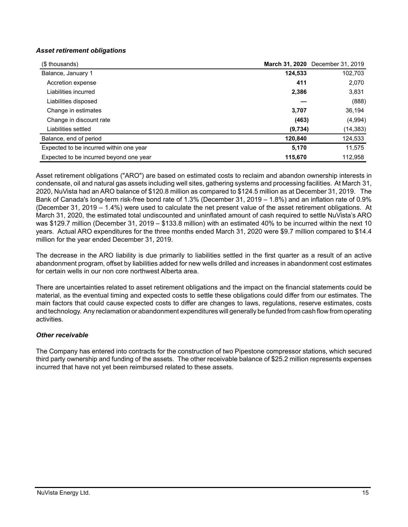## *Asset retirement obligations*

| (\$ thousands)                          |         | March 31, 2020 December 31, 2019 |
|-----------------------------------------|---------|----------------------------------|
| Balance, January 1                      | 124,533 | 102,703                          |
| Accretion expense                       | 411     | 2,070                            |
| Liabilities incurred                    | 2,386   | 3,831                            |
| Liabilities disposed                    |         | (888)                            |
| Change in estimates                     | 3,707   | 36,194                           |
| Change in discount rate                 | (463)   | (4,994)                          |
| Liabilities settled                     | (9,734) | (14, 383)                        |
| Balance, end of period                  | 120,840 | 124,533                          |
| Expected to be incurred within one year | 5,170   | 11,575                           |
| Expected to be incurred beyond one year | 115,670 | 112,958                          |

Asset retirement obligations ("ARO") are based on estimated costs to reclaim and abandon ownership interests in condensate, oil and natural gas assets including well sites, gathering systems and processing facilities. At March 31, 2020, NuVista had an ARO balance of \$120.8 million as compared to \$124.5 million as at December 31, 2019. The Bank of Canada's long-term risk-free bond rate of 1.3% (December 31, 2019 – 1.8%) and an inflation rate of 0.9% (December 31, 2019 – 1.4%) were used to calculate the net present value of the asset retirement obligations. At March 31, 2020, the estimated total undiscounted and uninflated amount of cash required to settle NuVista's ARO was \$129.7 million (December 31, 2019 – \$133.8 million) with an estimated 40% to be incurred within the next 10 years. Actual ARO expenditures for the three months ended March 31, 2020 were \$9.7 million compared to \$14.4 million for the year ended December 31, 2019.

The decrease in the ARO liability is due primarily to liabilities settled in the first quarter as a result of an active abandonment program, offset by liabilities added for new wells drilled and increases in abandonment cost estimates for certain wells in our non core northwest Alberta area.

There are uncertainties related to asset retirement obligations and the impact on the financial statements could be material, as the eventual timing and expected costs to settle these obligations could differ from our estimates. The main factors that could cause expected costs to differ are changes to laws, regulations, reserve estimates, costs and technology. Any reclamation or abandonment expenditures will generally be funded from cash flow from operating activities.

## *Other receivable*

The Company has entered into contracts for the construction of two Pipestone compressor stations, which secured third party ownership and funding of the assets. The other receivable balance of \$25.2 million represents expenses incurred that have not yet been reimbursed related to these assets.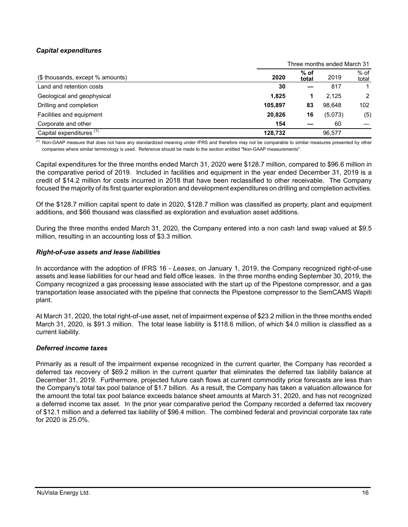# *Capital expenditures*

|                                     |         |                 | Three months ended March 31 |                 |
|-------------------------------------|---------|-----------------|-----------------------------|-----------------|
| (\$ thousands, except % amounts)    | 2020    | $%$ of<br>total | 2019                        | $%$ of<br>total |
| Land and retention costs            | 30      |                 | 817                         |                 |
| Geological and geophysical          | 1.825   |                 | 2.125                       | $\mathcal{P}$   |
| Drilling and completion             | 105.897 | 83              | 98.648                      | 102             |
| Facilities and equipment            | 20,826  | 16              | (5,073)                     | (5)             |
| Corporate and other                 | 154     |                 | 60                          |                 |
| Capital expenditures <sup>(1)</sup> | 128.732 |                 | 96,577                      |                 |

 $\frac{(1)}{(1)}$  Non-GAAP measure that does not have any standardized meaning under IFRS and therefore may not be comparable to similar measures presented by other companies where similar terminology is used. Reference should be made to the section entitled "Non-GAAP measurements".

Capital expenditures for the three months ended March 31, 2020 were \$128.7 million, compared to \$96.6 million in the comparative period of 2019. Included in facilities and equipment in the year ended December 31, 2019 is a credit of \$14.2 million for costs incurred in 2018 that have been reclassified to other receivable. The Company focused the majority of its first quarter exploration and development expenditures on drilling and completion activities.

Of the \$128.7 million capital spent to date in 2020, \$128.7 million was classified as property, plant and equipment additions, and \$66 thousand was classified as exploration and evaluation asset additions.

During the three months ended March 31, 2020, the Company entered into a non cash land swap valued at \$9.5 million, resulting in an accounting loss of \$3.3 million.

### *Right-of-use assets and lease liabilities*

In accordance with the adoption of IFRS 16 - *Leases*, on January 1, 2019, the Company recognized right-of-use assets and lease liabilities for our head and field office leases. In the three months ending September 30, 2019, the Company recognized a gas processing lease associated with the start up of the Pipestone compressor, and a gas transportation lease associated with the pipeline that connects the Pipestone compressor to the SemCAMS Wapiti plant.

At March 31, 2020, the total right-of-use asset, net of impairment expense of \$23.2 million in the three months ended March 31, 2020, is \$91.3 million. The total lease liability is \$118.6 million, of which \$4.0 million is classified as a current liability.

## *Deferred income taxes*

Primarily as a result of the impairment expense recognized in the current quarter, the Company has recorded a deferred tax recovery of \$69.2 million in the current quarter that eliminates the deferred tax liability balance at December 31, 2019. Furthermore, projected future cash flows at current commodity price forecasts are less than the Company's total tax pool balance of \$1.7 billion. As a result, the Company has taken a valuation allowance for the amount the total tax pool balance exceeds balance sheet amounts at March 31, 2020, and has not recognized a deferred income tax asset. In the prior year comparative period the Company recorded a deferred tax recovery of \$12.1 million and a deferred tax liability of \$96.4 million. The combined federal and provincial corporate tax rate for 2020 is 25.0%.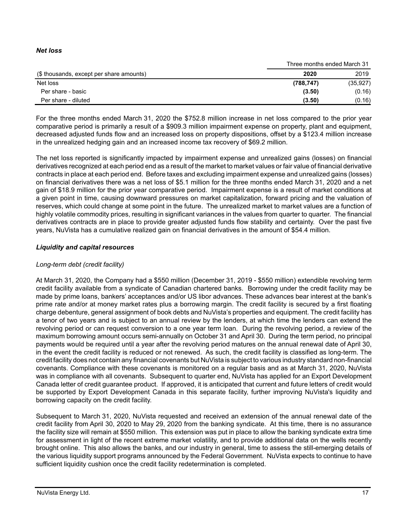## *Net loss*

|                                          |            | Three months ended March 31 |
|------------------------------------------|------------|-----------------------------|
| (\$ thousands, except per share amounts) | 2020       | 2019                        |
| Net loss                                 | (788, 747) | (35, 927)                   |
| Per share - basic                        | (3.50)     | (0.16)                      |
| Per share - diluted                      | (3.50)     | (0.16)                      |

For the three months ended March 31, 2020 the \$752.8 million increase in net loss compared to the prior year comparative period is primarily a result of a \$909.3 million impairment expense on property, plant and equipment, decreased adjusted funds flow and an increased loss on property dispositions, offset by a \$123.4 million increase in the unrealized hedging gain and an increased income tax recovery of \$69.2 million.

The net loss reported is significantly impacted by impairment expense and unrealized gains (losses) on financial derivatives recognized at each period end as a result of the market to market values or fair value of financial derivative contracts in place at each period end. Before taxes and excluding impairment expense and unrealized gains (losses) on financial derivatives there was a net loss of \$5.1 million for the three months ended March 31, 2020 and a net gain of \$18.9 million for the prior year comparative period. Impairment expense is a result of market conditions at a given point in time, causing downward pressures on market capitalization, forward pricing and the valuation of reserves, which could change at some point in the future. The unrealized market to market values are a function of highly volatile commodity prices, resulting in significant variances in the values from quarter to quarter. The financial derivatives contracts are in place to provide greater adjusted funds flow stability and certainty. Over the past five years, NuVista has a cumulative realized gain on financial derivatives in the amount of \$54.4 million.

## *Liquidity and capital resources*

## *Long-term debt (credit facility)*

At March 31, 2020, the Company had a \$550 million (December 31, 2019 - \$550 million) extendible revolving term credit facility available from a syndicate of Canadian chartered banks. Borrowing under the credit facility may be made by prime loans, bankers' acceptances and/or US libor advances. These advances bear interest at the bank's prime rate and/or at money market rates plus a borrowing margin. The credit facility is secured by a first floating charge debenture, general assignment of book debts and NuVista's properties and equipment. The credit facility has a tenor of two years and is subject to an annual review by the lenders, at which time the lenders can extend the revolving period or can request conversion to a one year term loan. During the revolving period, a review of the maximum borrowing amount occurs semi-annually on October 31 and April 30. During the term period, no principal payments would be required until a year after the revolving period matures on the annual renewal date of April 30, in the event the credit facility is reduced or not renewed. As such, the credit facility is classified as long-term. The credit facility does not contain any financial covenants but NuVista is subject to various industry standard non-financial covenants. Compliance with these covenants is monitored on a regular basis and as at March 31, 2020, NuVista was in compliance with all covenants. Subsequent to quarter end, NuVista has applied for an Export Development Canada letter of credit guarantee product. If approved, it is anticipated that current and future letters of credit would be supported by Export Development Canada in this separate facility, further improving NuVista's liquidity and borrowing capacity on the credit facility.

Subsequent to March 31, 2020, NuVista requested and received an extension of the annual renewal date of the credit facility from April 30, 2020 to May 29, 2020 from the banking syndicate. At this time, there is no assurance the facility size will remain at \$550 million. This extension was put in place to allow the banking syndicate extra time for assessment in light of the recent extreme market volatility, and to provide additional data on the wells recently brought online. This also allows the banks, and our industry in general, time to assess the still-emerging details of the various liquidity support programs announced by the Federal Government. NuVista expects to continue to have sufficient liquidity cushion once the credit facility redetermination is completed.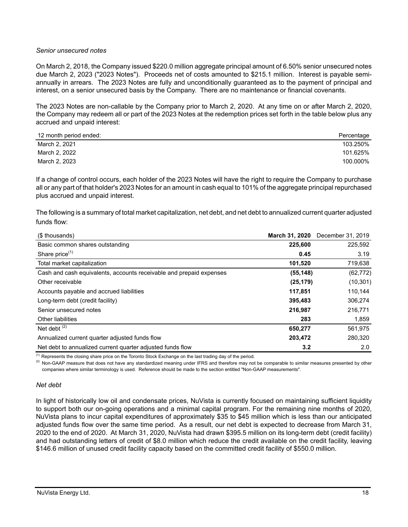### *Senior unsecured notes*

On March 2, 2018, the Company issued \$220.0 million aggregate principal amount of 6.50% senior unsecured notes due March 2, 2023 ("2023 Notes"). Proceeds net of costs amounted to \$215.1 million. Interest is payable semiannually in arrears. The 2023 Notes are fully and unconditionally guaranteed as to the payment of principal and interest, on a senior unsecured basis by the Company. There are no maintenance or financial covenants.

The 2023 Notes are non-callable by the Company prior to March 2, 2020. At any time on or after March 2, 2020, the Company may redeem all or part of the 2023 Notes at the redemption prices set forth in the table below plus any accrued and unpaid interest:

| 12 month period ended: | Percentage |
|------------------------|------------|
| March 2, 2021          | 103.250%   |
| March 2, 2022          | 101.625%   |
| March 2, 2023          | 100.000%   |

If a change of control occurs, each holder of the 2023 Notes will have the right to require the Company to purchase all or any part of that holder's 2023 Notes for an amount in cash equal to 101% of the aggregate principal repurchased plus accrued and unpaid interest.

The following is a summary of total market capitalization, net debt, and net debt to annualized current quarter adjusted funds flow:

| (\$ thousands)                                                      | <b>March 31, 2020</b> | December 31, 2019 |
|---------------------------------------------------------------------|-----------------------|-------------------|
| Basic common shares outstanding                                     | 225,600               | 225,592           |
| Share price <sup>(1)</sup>                                          | 0.45                  | 3.19              |
| Total market capitalization                                         | 101,520               | 719,638           |
| Cash and cash equivalents, accounts receivable and prepaid expenses | (55, 148)             | (62, 772)         |
| Other receivable                                                    | (25, 179)             | (10, 301)         |
| Accounts payable and accrued liabilities                            | 117,851               | 110,144           |
| Long-term debt (credit facility)                                    | 395,483               | 306,274           |
| Senior unsecured notes                                              | 216,987               | 216,771           |
| <b>Other liabilities</b>                                            | 283                   | 1,859             |
| Net debt $(2)$                                                      | 650,277               | 561,975           |
| Annualized current quarter adjusted funds flow                      | 203,472               | 280,320           |
| Net debt to annualized current quarter adjusted funds flow          | 3.2                   | 2.0               |

 $<sup>(1)</sup>$  Represents the closing share price on the Toronto Stock Exchange on the last trading day of the period.</sup>

<sup>(2)</sup> Non-GAAP measure that does not have any standardized meaning under IFRS and therefore may not be comparable to similar measures presented by other companies where similar terminology is used. Reference should be made to the section entitled "Non-GAAP measurements".

#### *Net debt*

In light of historically low oil and condensate prices, NuVista is currently focused on maintaining sufficient liquidity to support both our on-going operations and a minimal capital program. For the remaining nine months of 2020, NuVista plans to incur capital expenditures of approximately \$35 to \$45 million which is less than our anticipated adjusted funds flow over the same time period. As a result, our net debt is expected to decrease from March 31, 2020 to the end of 2020. At March 31, 2020, NuVista had drawn \$395.5 million on its long-term debt (credit facility) and had outstanding letters of credit of \$8.0 million which reduce the credit available on the credit facility, leaving \$146.6 million of unused credit facility capacity based on the committed credit facility of \$550.0 million.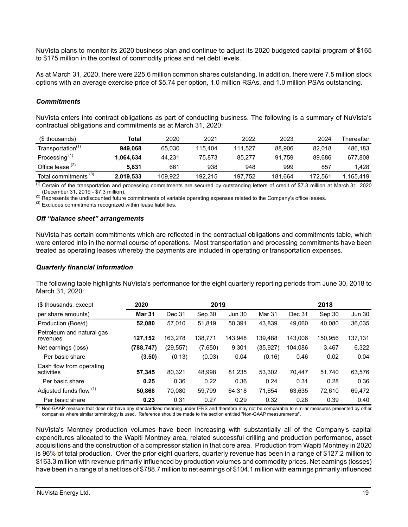NuVista plans to monitor its 2020 business plan and continue to adjust its 2020 budgeted capital program of \$165 to \$175 million in the context of commodity prices and net debt levels.

As at March 31, 2020, there were 225.6 million common shares outstanding. In addition, there were 7.5 million stock options with an average exercise price of \$5.74 per option, 1.0 million RSAs, and 1.0 million PSAs outstanding.

#### *Commitments*

NuVista enters into contract obligations as part of conducting business. The following is a summary of NuVista's contractual obligations and commitments as at March 31, 2020:

| (\$ thousands)                   | Total     | 2020    | 2021    | 2022    | 2023    | 2024    | Thereafter |
|----------------------------------|-----------|---------|---------|---------|---------|---------|------------|
| Transportation <sup>(1)</sup>    | 949.068   | 65.030  | 115.404 | 111.527 | 88,906  | 82.018  | 486,183    |
| Processing <sup>(1)</sup>        | 1,064.634 | 44.231  | 75.873  | 85.277  | 91.759  | 89.686  | 677.808    |
| Office lease $(2)$               | 5.831     | 661     | 938     | 948     | 999     | 857     | 1.428      |
| Total commitments <sup>(3)</sup> | 2,019,533 | 109.922 | 192.215 | 197.752 | 181.664 | 172.561 | l.165.419  |

<sup>(1)</sup> Certain of the transportation and processing commitments are secured by outstanding letters of credit of \$7.3 million at March 31, 2020 (December 31, 2019 - \$7.3 million).

<sup>(2)</sup> Represents the undiscounted future commitments of variable operating expenses related to the Company's office leases.

<sup>(3)</sup> Excludes commitments recognized within lease liabilities.

#### *Off "balance sheet" arrangements*

NuVista has certain commitments which are reflected in the contractual obligations and commitments table, which were entered into in the normal course of operations. Most transportation and processing commitments have been treated as operating leases whereby the payments are included in operating or transportation expenses.

#### *Quarterly financial information*

The following table highlights NuVista's performance for the eight quarterly reporting periods from June 30, 2018 to March 31, 2020:

| (\$ thousands, except                  | 2020          |           | 2019    |               |          |         | 2018    |               |
|----------------------------------------|---------------|-----------|---------|---------------|----------|---------|---------|---------------|
| per share amounts)                     | <b>Mar 31</b> | Dec 31    | Sep 30  | <b>Jun 30</b> | Mar 31   | Dec 31  | Sep 30  | <b>Jun 30</b> |
| Production (Boe/d)                     | 52,080        | 57,010    | 51,819  | 50,391        | 43.839   | 49.060  | 40,080  | 36,035        |
| Petroleum and natural gas<br>revenues  | 127,152       | 163.278   | 138.771 | 143.948       | 139.488  | 143.006 | 150,956 | 137,131       |
| Net earnings (loss)                    | (788,747)     | (29, 557) | (7,650) | 9,301         | (35,927) | 104.086 | 3,467   | 6,322         |
| Per basic share                        | (3.50)        | (0.13)    | (0.03)  | 0.04          | (0.16)   | 0.46    | 0.02    | 0.04          |
| Cash flow from operating<br>activities | 57.345        | 80.321    | 48.998  | 81,235        | 53.302   | 70.447  | 51.740  | 63,576        |
| Per basic share                        | 0.25          | 0.36      | 0.22    | 0.36          | 0.24     | 0.31    | 0.28    | 0.36          |
| Adjusted funds flow (1)                | 50,868        | 70.080    | 59.799  | 64,318        | 71.654   | 63,635  | 72.610  | 69,472        |
| Per basic share                        | 0.23          | 0.31      | 0.27    | 0.29          | 0.32     | 0.28    | 0.39    | 0.40          |

 $\overline{10}$  Non-GAAP measure that does not have any standardized meaning under IFRS and therefore may not be comparable to similar measures presented by other companies where similar terminology is used. Reference should be made to the section entitled "Non-GAAP measurements".

NuVista's Montney production volumes have been increasing with substantially all of the Company's capital expenditures allocated to the Wapiti Montney area, related successful drilling and production performance, asset acquisitions and the construction of a compressor station in that core area. Production from Wapiti Montney in 2020 is 96% of total production. Over the prior eight quarters, quarterly revenue has been in a range of \$127.2 million to \$163.3 million with revenue primarily influenced by production volumes and commodity prices. Net earnings (losses) have been in a range of a net loss of \$788.7 million to net earnings of \$104.1 million with earnings primarily influenced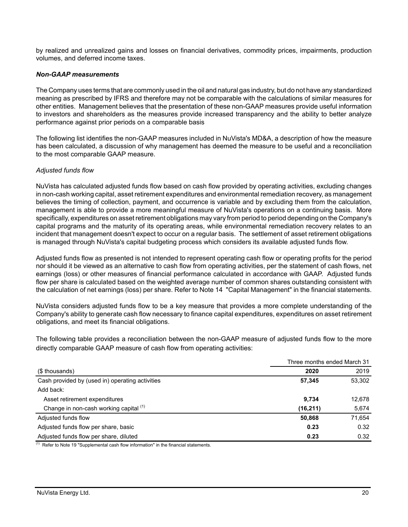by realized and unrealized gains and losses on financial derivatives, commodity prices, impairments, production volumes, and deferred income taxes.

## *Non-GAAP measurements*

The Company uses terms that are commonly used in the oil and natural gas industry, but do not have any standardized meaning as prescribed by IFRS and therefore may not be comparable with the calculations of similar measures for other entities. Management believes that the presentation of these non-GAAP measures provide useful information to investors and shareholders as the measures provide increased transparency and the ability to better analyze performance against prior periods on a comparable basis

The following list identifies the non-GAAP measures included in NuVista's MD&A, a description of how the measure has been calculated, a discussion of why management has deemed the measure to be useful and a reconciliation to the most comparable GAAP measure.

### *Adjusted funds flow*

NuVista has calculated adjusted funds flow based on cash flow provided by operating activities, excluding changes in non-cash working capital, asset retirement expenditures and environmental remediation recovery, as management believes the timing of collection, payment, and occurrence is variable and by excluding them from the calculation, management is able to provide a more meaningful measure of NuVista's operations on a continuing basis. More specifically, expenditures on asset retirement obligations may vary from period to period depending on the Company's capital programs and the maturity of its operating areas, while environmental remediation recovery relates to an incident that management doesn't expect to occur on a regular basis. The settlement of asset retirement obligations is managed through NuVista's capital budgeting process which considers its available adjusted funds flow.

Adjusted funds flow as presented is not intended to represent operating cash flow or operating profits for the period nor should it be viewed as an alternative to cash flow from operating activities, per the statement of cash flows, net earnings (loss) or other measures of financial performance calculated in accordance with GAAP. Adjusted funds flow per share is calculated based on the weighted average number of common shares outstanding consistent with the calculation of net earnings (loss) per share. Refer to Note 14 "Capital Management" in the financial statements.

NuVista considers adjusted funds flow to be a key measure that provides a more complete understanding of the Company's ability to generate cash flow necessary to finance capital expenditures, expenditures on asset retirement obligations, and meet its financial obligations.

The following table provides a reconciliation between the non-GAAP measure of adjusted funds flow to the more directly comparable GAAP measure of cash flow from operating activities:

|                                                 | Three months ended March 31 |        |
|-------------------------------------------------|-----------------------------|--------|
| (\$ thousands)                                  | 2020                        | 2019   |
| Cash provided by (used in) operating activities | 57,345                      | 53,302 |
| Add back:                                       |                             |        |
| Asset retirement expenditures                   | 9,734                       | 12,678 |
| Change in non-cash working capital (1)          | (16, 211)                   | 5,674  |
| Adjusted funds flow                             | 50,868                      | 71,654 |
| Adjusted funds flow per share, basic            | 0.23                        | 0.32   |
| Adjusted funds flow per share, diluted          | 0.23                        | 0.32   |

 $(1)$  Refer to Note 19 "Supplemental cash flow information" in the financial statements.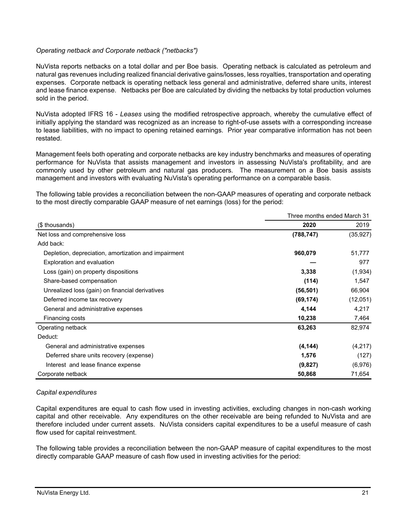## *Operating netback and Corporate netback ("netbacks")*

NuVista reports netbacks on a total dollar and per Boe basis. Operating netback is calculated as petroleum and natural gas revenues including realized financial derivative gains/losses, less royalties, transportation and operating expenses. Corporate netback is operating netback less general and administrative, deferred share units, interest and lease finance expense. Netbacks per Boe are calculated by dividing the netbacks by total production volumes sold in the period.

NuVista adopted IFRS 16 - *Leases* using the modified retrospective approach, whereby the cumulative effect of initially applying the standard was recognized as an increase to right-of-use assets with a corresponding increase to lease liabilities, with no impact to opening retained earnings. Prior year comparative information has not been restated.

Management feels both operating and corporate netbacks are key industry benchmarks and measures of operating performance for NuVista that assists management and investors in assessing NuVista's profitability, and are commonly used by other petroleum and natural gas producers. The measurement on a Boe basis assists management and investors with evaluating NuVista's operating performance on a comparable basis.

The following table provides a reconciliation between the non-GAAP measures of operating and corporate netback to the most directly comparable GAAP measure of net earnings (loss) for the period:

|                                                      | Three months ended March 31 |           |
|------------------------------------------------------|-----------------------------|-----------|
| (\$ thousands)                                       | 2020                        | 2019      |
| Net loss and comprehensive loss                      | (788, 747)                  | (35, 927) |
| Add back:                                            |                             |           |
| Depletion, depreciation, amortization and impairment | 960,079                     | 51,777    |
| <b>Exploration and evaluation</b>                    |                             | 977       |
| Loss (gain) on property dispositions                 | 3,338                       | (1,934)   |
| Share-based compensation                             | (114)                       | 1,547     |
| Unrealized loss (gain) on financial derivatives      | (56, 501)                   | 66,904    |
| Deferred income tax recovery                         | (69, 174)                   | (12,051)  |
| General and administrative expenses                  | 4,144                       | 4,217     |
| Financing costs                                      | 10,238                      | 7,464     |
| Operating netback                                    | 63,263                      | 82,974    |
| Deduct:                                              |                             |           |
| General and administrative expenses                  | (4, 144)                    | (4,217)   |
| Deferred share units recovery (expense)              | 1,576                       | (127)     |
| Interest and lease finance expense                   | (9,827)                     | (6,976)   |
| Corporate netback                                    | 50,868                      | 71,654    |

#### *Capital expenditures*

Capital expenditures are equal to cash flow used in investing activities, excluding changes in non-cash working capital and other receivable. Any expenditures on the other receivable are being refunded to NuVista and are therefore included under current assets. NuVista considers capital expenditures to be a useful measure of cash flow used for capital reinvestment.

The following table provides a reconciliation between the non-GAAP measure of capital expenditures to the most directly comparable GAAP measure of cash flow used in investing activities for the period: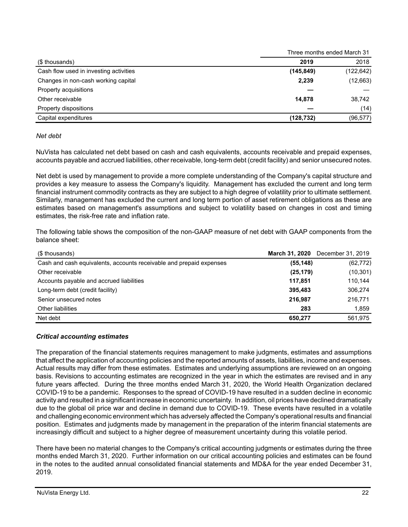|                                        |            | Three months ended March 31 |
|----------------------------------------|------------|-----------------------------|
| (\$ thousands)                         | 2019       | 2018                        |
| Cash flow used in investing activities | (145, 849) | (122, 642)                  |
| Changes in non-cash working capital    | 2,239      | (12, 663)                   |
| Property acquisitions                  |            |                             |
| Other receivable                       | 14,878     | 38,742                      |
| Property dispositions                  |            | (14)                        |
| Capital expenditures                   | (128, 732) | (96, 577)                   |

## *Net debt*

NuVista has calculated net debt based on cash and cash equivalents, accounts receivable and prepaid expenses, accounts payable and accrued liabilities, other receivable, long-term debt (credit facility) and senior unsecured notes.

Net debt is used by management to provide a more complete understanding of the Company's capital structure and provides a key measure to assess the Company's liquidity. Management has excluded the current and long term financial instrument commodity contracts as they are subject to a high degree of volatility prior to ultimate settlement. Similarly, management has excluded the current and long term portion of asset retirement obligations as these are estimates based on management's assumptions and subject to volatility based on changes in cost and timing estimates, the risk-free rate and inflation rate.

The following table shows the composition of the non-GAAP measure of net debt with GAAP components from the balance sheet:

| (\$ thousands)                                                      | March 31, 2020 | December 31, 2019 |
|---------------------------------------------------------------------|----------------|-------------------|
| Cash and cash equivalents, accounts receivable and prepaid expenses | (55, 148)      | (62, 772)         |
| Other receivable                                                    | (25, 179)      | (10, 301)         |
| Accounts payable and accrued liabilities                            | 117.851        | 110.144           |
| Long-term debt (credit facility)                                    | 395,483        | 306,274           |
| Senior unsecured notes                                              | 216,987        | 216,771           |
| Other liabilities                                                   | 283            | 1,859             |
| Net debt                                                            | 650.277        | 561,975           |

## *Critical accounting estimates*

The preparation of the financial statements requires management to make judgments, estimates and assumptions that affect the application of accounting policies and the reported amounts of assets, liabilities, income and expenses. Actual results may differ from these estimates. Estimates and underlying assumptions are reviewed on an ongoing basis. Revisions to accounting estimates are recognized in the year in which the estimates are revised and in any future years affected. During the three months ended March 31, 2020, the World Health Organization declared COVID-19 to be a pandemic. Responses to the spread of COVID-19 have resulted in a sudden decline in economic activity and resulted in a significant increase in economic uncertainty. In addition, oil prices have declined dramatically due to the global oil price war and decline in demand due to COVID-19. These events have resulted in a volatile and challenging economic environment which has adversely affected the Company's operational results and financial position. Estimates and judgments made by management in the preparation of the interim financial statements are increasingly difficult and subject to a higher degree of measurement uncertainty during this volatile period.

There have been no material changes to the Company's critical accounting judgments or estimates during the three months ended March 31, 2020. Further information on our critical accounting policies and estimates can be found in the notes to the audited annual consolidated financial statements and MD&A for the year ended December 31, 2019.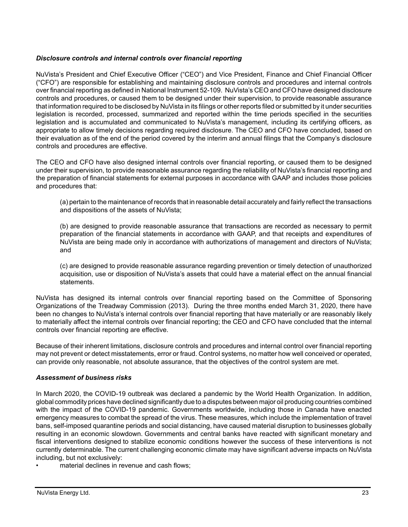## *Disclosure controls and internal controls over financial reporting*

NuVista's President and Chief Executive Officer ("CEO") and Vice President, Finance and Chief Financial Officer ("CFO") are responsible for establishing and maintaining disclosure controls and procedures and internal controls over financial reporting as defined in National Instrument 52-109. NuVista's CEO and CFO have designed disclosure controls and procedures, or caused them to be designed under their supervision, to provide reasonable assurance that information required to be disclosed by NuVista in its filings or other reports filed or submitted by it under securities legislation is recorded, processed, summarized and reported within the time periods specified in the securities legislation and is accumulated and communicated to NuVista's management, including its certifying officers, as appropriate to allow timely decisions regarding required disclosure. The CEO and CFO have concluded, based on their evaluation as of the end of the period covered by the interim and annual filings that the Company's disclosure controls and procedures are effective.

The CEO and CFO have also designed internal controls over financial reporting, or caused them to be designed under their supervision, to provide reasonable assurance regarding the reliability of NuVista's financial reporting and the preparation of financial statements for external purposes in accordance with GAAP and includes those policies and procedures that:

(a) pertain to the maintenance of records that in reasonable detail accurately and fairly reflect the transactions and dispositions of the assets of NuVista;

(b) are designed to provide reasonable assurance that transactions are recorded as necessary to permit preparation of the financial statements in accordance with GAAP, and that receipts and expenditures of NuVista are being made only in accordance with authorizations of management and directors of NuVista; and

(c) are designed to provide reasonable assurance regarding prevention or timely detection of unauthorized acquisition, use or disposition of NuVista's assets that could have a material effect on the annual financial statements.

NuVista has designed its internal controls over financial reporting based on the Committee of Sponsoring Organizations of the Treadway Commission (2013). During the three months ended March 31, 2020, there have been no changes to NuVista's internal controls over financial reporting that have materially or are reasonably likely to materially affect the internal controls over financial reporting; the CEO and CFO have concluded that the internal controls over financial reporting are effective.

Because of their inherent limitations, disclosure controls and procedures and internal control over financial reporting may not prevent or detect misstatements, error or fraud. Control systems, no matter how well conceived or operated, can provide only reasonable, not absolute assurance, that the objectives of the control system are met.

## *Assessment of business risks*

In March 2020, the COVID-19 outbreak was declared a pandemic by the World Health Organization. In addition, global commodity prices have declined significantly due to a disputes between major oil producing countries combined with the impact of the COVID-19 pandemic. Governments worldwide, including those in Canada have enacted emergency measures to combat the spread of the virus. These measures, which include the implementation of travel bans, self-imposed quarantine periods and social distancing, have caused material disruption to businesses globally resulting in an economic slowdown. Governments and central banks have reacted with significant monetary and fiscal interventions designed to stabilize economic conditions however the success of these interventions is not currently determinable. The current challenging economic climate may have significant adverse impacts on NuVista including, but not exclusively:

material declines in revenue and cash flows;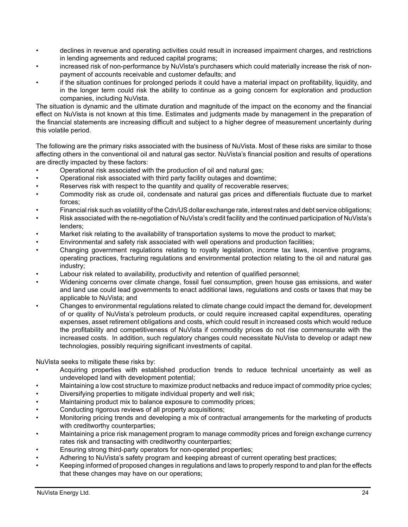- declines in revenue and operating activities could result in increased impairment charges, and restrictions in lending agreements and reduced capital programs;
- increased risk of non-performance by NuVista's purchasers which could materially increase the risk of nonpayment of accounts receivable and customer defaults; and
- if the situation continues for prolonged periods it could have a material impact on profitability, liquidity, and in the longer term could risk the ability to continue as a going concern for exploration and production companies, including NuVista.

The situation is dynamic and the ultimate duration and magnitude of the impact on the economy and the financial effect on NuVista is not known at this time. Estimates and judgments made by management in the preparation of the financial statements are increasing difficult and subject to a higher degree of measurement uncertainty during this volatile period.

The following are the primary risks associated with the business of NuVista. Most of these risks are similar to those affecting others in the conventional oil and natural gas sector. NuVista's financial position and results of operations are directly impacted by these factors:

- Operational risk associated with the production of oil and natural gas;
- Operational risk associated with third party facility outages and downtime;
- Reserves risk with respect to the quantity and quality of recoverable reserves;
- Commodity risk as crude oil, condensate and natural gas prices and differentials fluctuate due to market forces;
- Financial risk such as volatility of the Cdn/US dollar exchange rate, interest rates and debt service obligations;
- Risk associated with the re-negotiation of NuVista's credit facility and the continued participation of NuVista's lenders;
- Market risk relating to the availability of transportation systems to move the product to market;
- Environmental and safety risk associated with well operations and production facilities;
- Changing government regulations relating to royalty legislation, income tax laws, incentive programs, operating practices, fracturing regulations and environmental protection relating to the oil and natural gas industry;
- Labour risk related to availability, productivity and retention of qualified personnel;
- Widening concerns over climate change, fossil fuel consumption, green house gas emissions, and water and land use could lead governments to enact additional laws, regulations and costs or taxes that may be applicable to NuVista; and
- Changes to environmental regulations related to climate change could impact the demand for, development of or quality of NuVista's petroleum products, or could require increased capital expenditures, operating expenses, asset retirement obligations and costs, which could result in increased costs which would reduce the profitability and competitiveness of NuVista if commodity prices do not rise commensurate with the increased costs. In addition, such regulatory changes could necessitate NuVista to develop or adapt new technologies, possibly requiring significant investments of capital.

NuVista seeks to mitigate these risks by:

- Acquiring properties with established production trends to reduce technical uncertainty as well as undeveloped land with development potential;
- Maintaining a low cost structure to maximize product netbacks and reduce impact of commodity price cycles;
- Diversifying properties to mitigate individual property and well risk;
- Maintaining product mix to balance exposure to commodity prices;
- Conducting rigorous reviews of all property acquisitions;
- Monitoring pricing trends and developing a mix of contractual arrangements for the marketing of products with creditworthy counterparties;
- Maintaining a price risk management program to manage commodity prices and foreign exchange currency rates risk and transacting with creditworthy counterparties;
- Ensuring strong third-party operators for non-operated properties;
- Adhering to NuVista's safety program and keeping abreast of current operating best practices;
- Keeping informed of proposed changes in regulations and laws to properly respond to and plan for the effects that these changes may have on our operations;